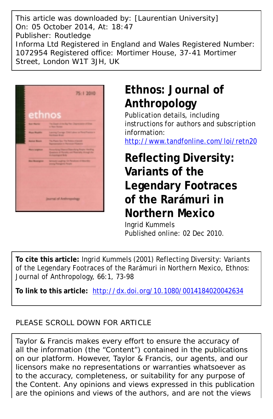This article was downloaded by: [Laurentian University] On: 05 October 2014, At: 18:47 Publisher: Routledge Informa Ltd Registered in England and Wales Registered Number: 1072954 Registered office: Mortimer House, 37-41 Mortimer Street, London W1T 3JH, UK



# **Ethnos: Journal of Anthropology**

Publication details, including instructions for authors and subscription information:

<http://www.tandfonline.com/loi/retn20>

**Reflecting Diversity: Variants of the Legendary Footraces of the Rarámuri in Northern Mexico**

Ingrid Kummels Published online: 02 Dec 2010.

**To cite this article:** Ingrid Kummels (2001) Reflecting Diversity: Variants of the Legendary Footraces of the Rarámuri in Northern Mexico, Ethnos: Journal of Anthropology, 66:1, 73-98

**To link to this article:** <http://dx.doi.org/10.1080/0014184020042634>

## PLEASE SCROLL DOWN FOR ARTICLE

Taylor & Francis makes every effort to ensure the accuracy of all the information (the "Content") contained in the publications on our platform. However, Taylor & Francis, our agents, and our licensors make no representations or warranties whatsoever as to the accuracy, completeness, or suitability for any purpose of the Content. Any opinions and views expressed in this publication are the opinions and views of the authors, and are not the views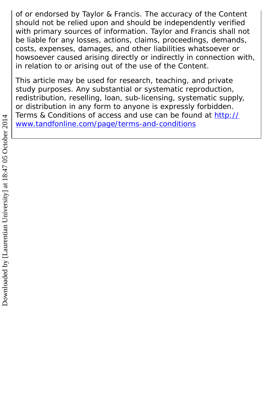of or endorsed by Taylor & Francis. The accuracy of the Content should not be relied upon and should be independently verified with primary sources of information. Taylor and Francis shall not be liable for any losses, actions, claims, proceedings, demands, costs, expenses, damages, and other liabilities whatsoever or howsoever caused arising directly or indirectly in connection with, in relation to or arising out of the use of the Content.

This article may be used for research, teaching, and private study purposes. Any substantial or systematic reproduction, redistribution, reselling, loan, sub-licensing, systematic supply, or distribution in any form to anyone is expressly forbidden. Terms & Conditions of access and use can be found at [http://](http://www.tandfonline.com/page/terms-and-conditions) [www.tandfonline.com/page/terms-and-conditions](http://www.tandfonline.com/page/terms-and-conditions)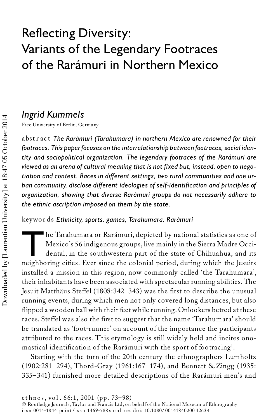# Reflecting Diversity: Variants of the Legendary Footraces of the Rarámuri in Northern Mexico

## *Ingrid Kummels*

Free University of Berlin, Germany

abst r ac t *The Rarámuri (Tarahumara) in northern Mexico are renowned for their footraces. This paper focuses on the interrelationship between footraces, social identity and sociopolitical organization. The legendary footraces of the Rarámuri are viewed as an arena of cultural meaning that is not fixed but, instead, open to negotiation and contest. Races in different settings, two rural communities and one ur ban community, disclose different ideologies of self-identification and principles of organization, showing that diverse Rarámuri groups do not necessarily adhere to the ethnic ascription imposed on them by the state.*

keywo r ds *Ethnicity, sports, games, Tarahumara, Rarámuri*

he Tarahumara or Rarámuri, depicted by national statistics as one of<br>Mexico's 56 indigenous groups, live mainly in the Sierra Madre Occi-<br>dental, in the southwestern part of the state of Chihuahua, and its<br>pairbhoring citi Mexico's 56 indigenous groups, live mainly in the Sierra Madre Occidental, in the southwestern part of the state of Chihuahua, and its neighboring cities. Ever since the colonial period, during which the Jesuits installed a mission in this region, now commonly called 'the Tarahumara', their inhabitants have been associated with spectacular running abilities. The Jesuit Matthäus Steffel (1808:342–343) was the first to describe the unusual running events, during which men not only covered long distances, but also flipped a wooden ball with their feet while running. Onlookers betted at these races. Steffel was also the first to suggest that the name 'Tarahumara' should be translated as 'foot-runner' on account of the importance the participants attributed to the races. This etymology is still widely held and incites ono mastical identification of the Rarámuri with the sport of footracing 1 .

Starting with the turn of the 20th century the ethnographers Lumholtz (1902:281–294), Thord-Gray (1961:167–174), and Bennett & Zingg (1935: 335–341) furnished more detailed descriptions of the Rarámuri men's and

e t h no s, vo l . 66:1, 2001 (pp. 73–98) © Routledge Journals, Taylor and Francis Ltd, on behalf of the National Museum of Ethnography iss n 0014-1844 pr int / iss n 1469-588 x o nl ine . do i: 10.1080/ 00141840200 42634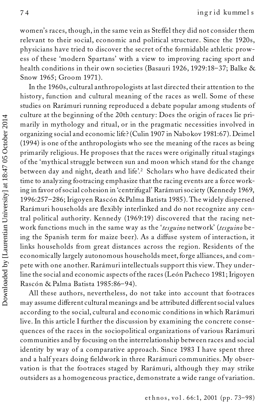women's races, though, in the same vein as Steffel they did not consider them relevant to their social, economic and political structure. Since the 1920s, physicians have tried to discover the secret of the formidable athletic prow ess of these 'modern Spartans' with a view to improving racing sport and health conditions in their own societies (Basauri 1926, 1929:18–37; Balke & Snow 1965; Groom 1971).

In the 1960s, cultural anthropologists at last directed their attention to the history, function and cultural meaning of the races as well. Some of these studies on Rarámuri running reproduced a debate popular among students of culture at the beginning of the 20th century: Does the origin of races lie pri marily in mythology and ritual, or in the pragmatic necessities involved in organizing social and economic life? (Culin 1907 in Nabokov 1981:67). Deimel (1994) is one of the anthropologists who see the meaning of the races as being primarily religious. He proposes that the races were originally ritual stagings of the 'mythical struggle between sun and moon which stand for the change between day and night, death and life'.<sup>2</sup> Scholars who have dedicated their time to analyzing footracing emphasize that the racing events are a force working in favor of social cohesion in 'centrifugal' Rarámuri society (Kennedy 1969, 1996:257–286; Irigoyen Rascón &Palma Batista 1985). The widely dispersed Rarámuri households are flexibly interlinked and do not recognize any central political authority. Kennedy (1969:19) discovered that the racing net work functions much in the same way as the '*tesguino* network' (*tesguino* being the Spanish term for maize beer). As a diffuse system of interaction, it links households from great distances across the region. Residents of the economically largely autonomous households meet, forge alliances, and com pete with one another. Rarámuri intellectuals support this view. They underline the social and economic aspects of the races (León Pacheco 1981; Irigoyen Rascón & Palma Batista 1985:86–94).

All these authors, nevertheless, do not take into account that footraces may assume different cultural meanings and be attributed different social values according to the social, cultural and economic conditions in which Rarámuri live. In this article I further the discussion by examining the concrete conse quences of the races in the sociopolitical organizations of various Rarámuri communities and by focusing on the interrelationship between races and social identity by way of a comparative approach. Since 1983 I have spent three and a half years doing fieldwork in three Rarámuri communities. My obser vation is that the footraces staged by Rarámuri, although they may strike outsiders as a homogeneous practice, demonstrate a wide range of variation.

Downloaded by [Laurentian University] at 18:47 05 October 2014 Downloaded by [Laurentian University] at 18:47 05 October 2014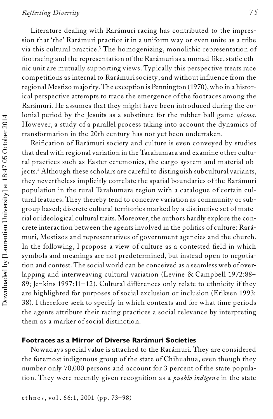### *Reflecting Diversity* 7 5

Literature dealing with Rarámuri racing has contributed to the impression that 'the' Rarámuri practice it in a uniform way or even unite as a tribe via this cultural practice.<sup>3</sup> The homogenizing, monolithic representation of footracing and the representation of the Rarámuri as a monad-like, static eth nic unit are mutually supporting views. Typically this perspective treats race competitions as internal to Rarámuri society, and without influence from the regional Mestizo majority. The exception is Pennington (1970), who in a historical perspective attempts to trace the emergence of the footraces among the Rarámuri. He assumes that they might have been introduced during the colonial period by the Jesuits as a substitute for the rubber-ball game *ulama*. However, a study of a parallel process taking into account the dynamics of transformation in the 20th century has not yet been undertaken.

Reification of Rarámuri society and culture is even conveyed by studies that deal with regional variation in the Tarahumara and examine other cultural practices such as Easter ceremonies, the cargo system and material objects.<sup>4</sup> Although these scholars are careful to distinguish subcultural variants, they nevertheless implicitly correlate the spatial boundaries of the Rarámuri population in the rural Tarahumara region with a catalogue of certain cultural features. They thereby tend to conceive variation as community or sub group based; discrete cultural territories marked by a distinctive set of material or ideological cultural traits. Moreover, the authors hardly explore the concrete interaction between the agents involved in the politics of culture: Rará muri, Mestizos and representatives of government agencies and the church. In the following, I propose a view of culture as a contested field in which symbols and meanings are not predetermined, but instead open to negotiation and contest. The social world can be conceived as a seamless web of overlapping and interweaving cultural variation (Levine & Campbell 1972:88– 89; Jenkins 1997:11–12). Cultural differences only relate to ethnicity if they are highlighted for purposes of social exclusion or inclusion (Eriksen 1993: 38). I therefore seek to specify in which contexts and for what time periods the agents attribute their racing practices a social relevance by interpreting them as a marker of social distinction. For the risk is a substitute for the rubber-ball game *ulame*.<br>
However, a study of a parallel process taking into account the dynamics of<br>
transformation in the 20th century has not yet been undertaken.<br>
Let the calculat

#### **Footraces as a Mirror of Diverse Rarámuri Societies**

Nowadays special value is attached to the Rarámuri. They are considered the foremost indigenous group of the state of Chihuahua, even though they number only 70,000 persons and account for 3 percent of the state popula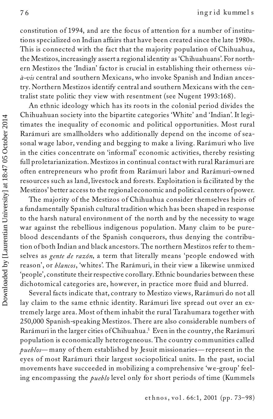constitution of 1994, and are the focus of attention for a number of institutions specialized on Indian affairs that have been created since the late 1980s. This is connected with the fact that the majority population of Chihuahua, the Mestizos, increasingly assert a regional identity as 'Chihuahuans'. For northern Mestizos the 'Indian' factor is crucial in establishing their otherness *visà-vis* central and southern Mexicans, who invoke Spanish and Indian ancestry. Northern Mestizos identify central and southern Mexicans with the centralist state politic they view with resentment (see Nugent 1993:168).

An ethnic ideology which has its roots in the colonial period divides the Chihuahuan society into the bipartite categories 'White' and 'Indian'. It legitimates the inequality of economic and political opportunities. Most rural Rarámuri are smallholders who additionally depend on the income of seasonal wage labor, vending and begging to make a living. Rarámuri who live in the cities concentrate on 'informal' economic activities, thereby resisting full proletarianization. Mestizos in continual contact with rural Rarámuri are often entrepreneurs who profit from Rarámuri labor and Rarámuri-owned resources such as land, livestock and forests. Exploitation is facilitated by the Mestizos' better access to the regional economic and political centers of power.

The majority of the Mestizos of Chihuahua consider themselves heirs of a fundamentally Spanish cultural tradition which has been shaped in response to the harsh natural environment of the north and by the necessity to wage war against the rebellious indigenous population. Many claim to be pure blood descendants of the Spanish conquerors, thus denying the contribution of both Indian and black ancestors. The northern Mestizos refer to themselves as *gente de razón*, a term that literally means 'people endowed with reason', or *blancos*, 'whites'. The Rarámuri, in their view a likewise unmixed 'people', constitute their respective corollary. Ethnic boundaries between these dichotomical categories are, however, in practice more fluid and blurred.

Several facts indicate that, contrary to Mestizo views, Rarámuri do not all lay claim to the same ethnic identity. Rarámuri live spread out over an extremely large area. Most of them inhabit the rural Tarahumara together with 250,000 Spanish-speaking Mestizos. There are also considerable numbers of Rarámuri in the larger cities of Chihuahua.<sup>5</sup> Even in the country, the Rarámuri population is economically heterogeneous. The country communities called *pueblos*— many of them established by Jesuit missionaries — represent in the eyes of most Rarámuri their largest sociopolitical units. In the past, social movements have succeeded in mobilizing a comprehensive 'we-group' feeling encompassing the *pueblo* level only for short periods of time (Kummels

Downloaded by [Laurentian University] at 18:47 05 October 2014 Downloaded by [Laurentian University] at 18:47 05 October 2014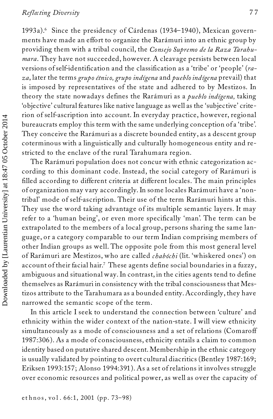## *Reflecting Diversity* 7 7

1993a).<sup>6</sup> Since the presidency of Cárdenas (1934–1940), Mexican govern ments have made an effort to organize the Rarámuri into an ethnic group by providing them with a tribal council, the *Consejo Supremo de la Raza Tarahu mara*. They have not succeeded, however. A cleavage persists between local versions of self-identification and the classification as a 'tribe' or 'people' (*ra za*, later the terms *grupo étnico, grupo indígena* and *pueblo indígena* prevail) that is imposed by representatives of the state and adhered to by Mestizos. In theory the state nowadays defines the Rarámuri as a *pueblo indígena,* taking 'objective' cultural features like native language as well as the 'subjective' criterion of self-ascription into account. In everyday practice, however, regional bureaucrats employ this term with the same underlying conception of a 'tribe'. They conceive the Rarámuri as a discrete bounded entity, as a descent group coterminous with a linguistically and culturally homogeneous entity and restricted to the enclave of the rural Tarahumara region.

The Rarámuri population does not concur with ethnic categorization according to this dominant code. Instead, the social category of Rarámuri is filled according to different criteria at different locales. The main principles of organization may vary accordingly. In some locales Rarámuri have a 'nontribal' mode of self-ascription. Their use of the term Rarámuri hints at this. They use the word taking advantage of its multiple semantic layers. It may refer to a 'human being', or even more specifically 'man'. The term can be extrapolated to the members of a local group, persons sharing the same lan guage, or a category comparable to our term Indian comprising members of other Indian groups as well. The opposite pole from this most general level of Rarámuri are Mestizos, who are called *chabóchi* (lit. 'whiskered ones') on account of their facial hair.<sup>7</sup> These agents define social boundaries in a fuzzy, ambiguous and situational way. In contrast, in the cities agents tend to define themselves as Rarámuri in consistency with the tribal consciousness that Mestizos attribute to the Tarahumara as a bounded entity. Accordingly, they have narrowed the semantic scope of the term. For one self-ascripton into account. In everyday practice, however, regional<br>solutionary and self-associates and political yard culturally homogeneous entity and recording<br>to the multipartical yard culturally homogeneous e

In this article I seek to understand the connection between 'culture' and ethnicity within the wider context of the nation-state. I will view ethnicity simultaneously as a mode of consciousness and a set of relations (Comaroff 1987:306). As a mode of consciousness, ethnicity entails a claim to common identity based on putative shared descent. Membership in the ethnic category is usually validated by pointing to overt cultural diacritics (Bentley 1987:169; Eriksen 1993:157; Alonso 1994:391). As a set of relations it involves struggle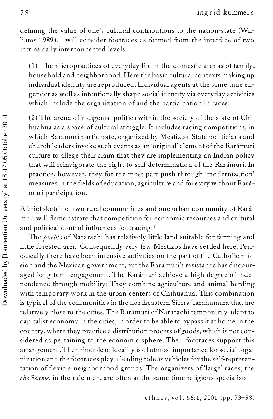defining the value of one's cultural contributions to the nation-state (Williams 1989). I will consider footraces as formed from the interface of two intrinsically interconnected levels:

(1) The micropractices of everyday life in the domestic arenas of family, household and neighborhood. Here the basic cultural contexts making up individual identity are reproduced. Individual agents at the same time en gender as well as intentionally shape social identity via everyday activities which include the organization of and the participation in races.

(2) The arena of indigenist politics within the society of the state of Chi huahua as a space of cultural struggle. It includes racing competitions, in which Rarámuri participate, organized by Mestizos. State politicians and church leaders invoke such events as an 'original' element of the Rarámuri culture to allege their claim that they are implementing an Indian policy that will reinvigorate the right to self-determination of the Rarámuri. In practice, however, they for the most part push through 'modernization' measures in the fields of education, agriculture and forestry without Rará muri participation.

A brief sketch of two rural communities and one urban community of Rará muri will demonstrate that competition for economic resources and cultural and political control influences footracing: <sup>8</sup>

The *pueblo* of Narárachi has relatively little land suitable for farming and little forested area. Consequently very few Mestizos have settled here. Peri odically there have been intensive activities on the part of the Catholic mission and the Mexican government, but the Rarámuri's resistance has discouraged long-term engagement. The Rarámuri achieve a high degree of inde pendence through mobility: They combine agriculture and animal herding with temporary work in the urban centers of Chihuahua. This combination is typical of the communities in the northeastern Sierra Tarahumara that are relatively close to the cities. The Rarámuri of Narárachi temporarily adapt to capitalist economy in the cities, in order to be able to bypass it at home in the country, where they practice a distribution process of goods, which is not considered as pertaining to the economic sphere. Their footraces support this arrangement. The principle of locality is of utmost importance for social orga nization and the footraces play a leading role as vehicles for the self-representation of flexible neighborhood groups. The organizers of 'large' races, the <sup>2</sup>Chota the same of indigenist politics within the society of the state of Chinala and and a same of cultural struggle. It includes racing competitions, including the same of culture to allege their calm that they are imp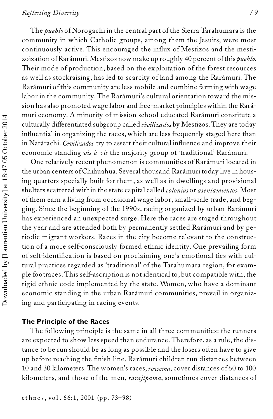## *Reflecting Diversity* 7 9

The *pueblo* of Norogachi in the central part of the Sierra Tarahumara is the community in which Catholic groups, among them the Jesuits, were most continuously active. This encouraged the influx of Mestizos and the mesti zoization of Rarámuri. Mestizos now make up roughly 40 percent of this *pueblo*. Their mode of production, based on the exploitation of the forest resources as well as stockraising, has led to scarcity of land among the Rarámuri. The Rarámuri of this community are less mobile and combine farming with wage labor in the community. The Rarámuri's cultural orientation toward the mission has also promoted wage labor and free-market principles within the Rará muri economy. A minority of mission school-educated Rarámuri constitute a culturally differentiated subgroup called *civilizados* by Mestizos. They are today influential in organizing the races, which are less frequently staged here than in Narárachi. *Civilizados* try to assert their cultural influence and improve their economic standing *vis-à-vis* the majority group of 'traditional' Rarámuri.

One relatively recent phenomenon is communities of Rarámuri located in the urban centers of Chihuahua. Several thousand Rarámuri today live in housing quarters specially built for them, as well as in dwellings and provisional shelters scattered within the state capital called *colonias* or *asentamientos*. Most of them earn a living from occasional wage labor, small-scale trade, and begging. Since the beginning of the 1990s, racing organized by urban Rarámuri has experienced an unexpected surge. Here the races are staged throughout the year and are attended both by permanently settled Rarámuri and by periodic migrant workers. Races in the city become relevant to the construction of a more self-consciously formed ethnic identity. One prevailing form of self-identification is based on proclaiming one's emotional ties with cultural practices regarded as 'traditional' of the Tarahumara region, for exam ple footraces. This self-ascription is not identical to, but compatible with, the rigid ethnic code implemented by the state. Women, who have a dominant economic standing in the urban Rarámuri communities, prevail in organizing and participating in racing events. muri economiy. A minority of mission school-educated Narianuri constitute a<br>
coluncily differentiated subgroup called *civilizadas* by Mestizos. They are today<br>
influential in organizing the races, which are less frequent

#### **The Principle of the Races**

The following principle is the same in all three communities: the runners are expected to show less speed than endurance. Therefore, as a rule, the distance to be run should be as long as possible and the losers often have to give up before reaching the finish line. Rarámuri children run distances between 10 and 30 kilometers. The women's races, *rowema*, cover distances of 60 to 100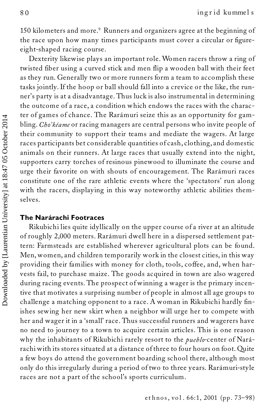150 kilometers and more.<sup>9</sup> Runners and organizers agree at the beginning of the race upon how many times participants must cover a circular or figure eight-shaped racing course.

Dexterity likewise plays an important role. Women racers throw a ring of twisted fiber using a curved stick and men flip a wooden ball with their feet as they run. Generally two or more runners form a team to accomplish these tasks jointly. If the hoop or ball should fall into a crevice or the like, the run ner's party is at a disadvantage. Thus luck is also instrumental in determining the outcome of a race, a condition which endows the races with the character of games of chance. The Rarámuri seize this as an opportunity for gam bling. *Cho'kéame* or racing managers are central persons who invite people of their community to support their teams and mediate the wagers. At large races participants bet considerable quantities of cash, clothing, and domestic animals on their runners. At large races that usually extend into the night, supporters carry torches of resinous pinewood to illuminate the course and urge their favorite on with shouts of encouragement. The Rarámuri races constitute one of the rare athletic events where the 'spectators' run along with the racers, displaying in this way noteworthy athletic abilities themselves.

## **The Narárachi Footraces**

Rikubichi lies quite idyllically on the upper course of a river at an altitude of roughly 2,000 meters. Rarámuri dwell here in a dispersed settlement pattern: Farmsteads are established wherever agricultural plots can be found. Men, women, and children temporarily work in the closest cities, in this way providing their families with money for cloth, tools, coffee, and, when har vests fail, to purchase maize. The goods acquired in town are also wagered during racing events. The prospect of winning a wager is the primary incentive that motivates a surprising number of people in almost all age groups to challenge a matching opponent to a race. A woman in Rikubichi hardly finishes sewing her new skirt when a neighbor will urge her to compete with her and wager it in a 'small' race. Thus successful runners and wagerers have no need to journey to a town to acquire certain articles. This is one reason why the inhabitants of Rikubichi rarely resort to the *pueblo*-center of Narárachi with its stores situated at a distance of three to four hours on foot. Quite a few boys do attend the government boarding school there, although most only do this irregularly during a period of two to three years. Rarámuri-style For different schoolers are not a sport of the schooler and process are the school of the school of the school of the school of the school of the school of the school of the school of the school of the school of the schoo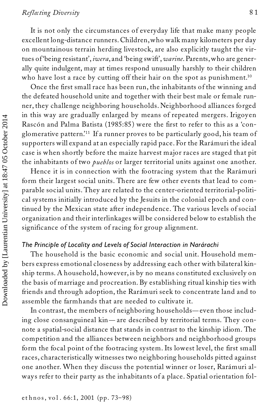It is not only the circumstances of everyday life that make many people excellent long-distance runners. Children, who walk many kilometers per day on mountainous terrain herding livestock, are also explicitly taught the virtues of 'being resistant', *iwera*, and 'being swift', *warine*. Parents, who are generally quite indulgent, may at times respond unusually harshly to their children who have lost a race by cutting off their hair on the spot as punishment.<sup>10</sup>

Once the first small race has been run, the inhabitants of the winning and the defeated household unite and together with their best male or female run ner, they challenge neighboring households. Neighborhood alliances forged in this way are gradually enlarged by means of repeated mergers. Irigoyen Rascón and Palma Batista (1985:85) were the first to refer to this as a 'con glomerative pattern.'<sup>11</sup> If a runner proves to be particularly good, his team of supporters will expand at an especially rapid pace. For the Rarámuri the ideal case is when shortly before the maize harvest major races are staged that pit the inhabitants of two *pueblos* or larger territorial units against one another.

Hence it is in connection with the footracing system that the Rarámuri form their largest social units. There are few other events that lead to com parable social units. They are related to the center-oriented territorial-political systems initially introduced by the Jesuits in the colonial epoch and continued by the Mexican state after independence. The various levels of social organization and their interlinkages will be considered below to establish the significance of the system of racing for group alignment.

## *The Principle of Locality and Levels of Social Interaction in Narárachi*

The household is the basic economic and social unit. Household mem bers express emotional closeness by addressing each other with bilateral kinship terms. A household, however, is by no means constituted exclusively on the basis of marriage and procreation. By establishing ritual kinship ties with friends and through adoption, the Rarámuri seek to concentrate land and to assemble the farmhands that are needed to cultivate it.

In contrast, the members of neighboring households —even those including close consanguineal kin-are described by territorial terms. They connote a spatial-social distance that stands in contrast to the kinship idiom. The competition and the alliances between neighbors and neighborhood groups form the focal point of the footracing system. Its lowest level, the first small races, characteristically witnesses two neighboring households pitted against one another. When they discuss the potential winner or loser, Rarámuri al ways refer to their party as the inhabitants of a place. Spatial orientation fol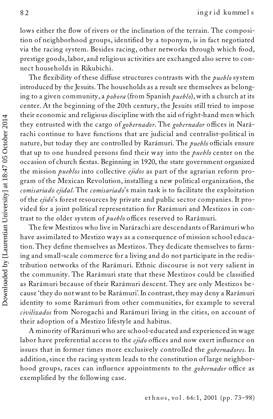lows either the flow of rivers or the inclination of the terrain. The composition of neighborhood groups, identified by a toponym, is in fact negotiated via the racing system. Besides racing, other networks through which food, prestige goods, labor, and religious activities are exchanged also serve to con nect households in Rikubichi.

The flexibility of these diffuse structures contrasts with the *pueblo* system introduced by the Jesuits. The households as a result see themselves as belonging to a given community, a *pobora* (from Spanish *pueblo*), with a church at its center. At the beginning of the 20th century, the Jesuits still tried to impose their economic and religious discipline with the aid of right-hand men which they entrusted with the cargo of *gobernador*. The *gobernador* offices in Narárachi continue to have functions that are judicial and centralist-political in nature, but today they are controlled by Rarámuri. The *pueblo* officials ensure that up to one hundred persons find their way into the *pueblo* center on the occasion of church fiestas. Beginning in 1920, the state government organized the mission *pueblos* into collective *ejidos* as part of the agrarian reform pro gram of the Mexican Revolution, installing a new political organization, the *comisariado ejidal*. The *comisariado*'s main task is to facilitate the exploitation of the *ejido*'s forest resources by private and public sector companies. It pro vided for a joint political representation for Rarámuri and Mestizos in contrast to the older system of *pueblo* offices reserved to Rarámuri. their economic and religious discipling<br>they entrusted with the cargo of gob<br>rachi continue to have functions tha<br>nature, but today they are controlled<br>that up to one hundred persons find<br>occasion of church fiestas. Begin

The few Mestizos who live in Narárachi are descendants of Rarámuri who have assimilated to Mestizo ways as a consequence of mission school education. They define themselves as Mestizos. They dedicate themselves to farming and small-scale commerce for a living and do not participate in the redistribution networks of the Rarámuri. Ethnic discourse is not very salient in the community. The Rarámuri state that these Mestizos could be classified as Rarámuri because of their Rarámuri descent. They are only Mestizos because 'they do not want to be Rarámuri'. In contrast, they may deny a Rarámuri identity to some Rarámuri from other communities, for example to several *civilizados* from Norogachi and Rarámuri living in the cities, on account of their adoption of a Mestizo lifestyle and habitus.

A minority of Rarámuri who are school-educated and experienced in wage labor have preferential access to the *ejido* offices and now exert influence on issues that in former times more exclusively controlled the *gobernadores*. In addition, since the racing system leads to the constitution of large neighbor hood groups, races can influence appointments to the *gobernador* office as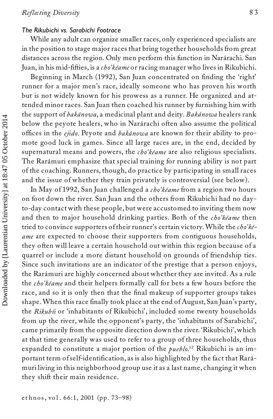#### *The Rikubichi vs. Sarabichi Footrace*

While any adult can organize smaller races, only experienced specialists are in the position to stage major races that bring together households from great distances across the region. Only men perform this function in Narárachi. San Juan, in his mid-fifties, is a *cho'kéame* or racing manager who lives in Rikubichi.

Beginning in March (1992), San Juan concentrated on finding the 'right' runner for a major men's race, ideally someone who has proven his worth but is not widely known for his prowess as a runner. He organized and attended minor races. San Juan then coached his runner by furnishing him with the support of *bakánowa*, a medicinal plant and deity. *Bakánowa* healers rank below the peyote healers, who in Narárachi often also assume the political offices in the *ejido.* Peyote and *bakánowa* are known for their ability to pro mote good luck in games. Since all large races are, in the end, decided by supernatural means and powers, the *cho'kéame* are also religious specialists. The Rarámuri emphasize that special training for running ability is not part of the coaching. Runners, though, do practice by participating in small races and the issue of whether they train privately is controversial (see below).

In May of 1992, San Juan challenged a *cho'kéame* from a region two hours on foot down the river. San Juan and the others from Rikubichi had no dayto-day contact with these people, but were accustomed to inviting them now and then to major household drinking parties. Both of the *cho'kéame* then tried to convince supporters of their runner's certain victory. While the *cho'ké ame* are expected to choose their supporters from contiguous households, they often will leave a certain household out within this region because of a quarrel or include a more distant household on grounds of friendship ties. Since such invitations are an indicator of the prestige that a person enjoys, the Rarámuri are highly concerned about whether they are invited. As a rule the *cho'kéame* and their helpers formally call for bets a few hours before the race, and so it is only then that the final makeup of supporter groups takes shape. When this race finally took place at the end of August, San Juan's party, the *Rikubíi* or 'inhabitants of Rikubichi', included some twenty households from up the river, while the opponent's party, the 'inhabitants of Sarabichi', came primarily from the opposite direction down the river. 'Rikubichi', which at that time generally was used to refer to a group of three households, thus expanded to constitute a major portion of the *pueblo.*<sup>12</sup> Rikubichi is an im portant term of self-identification, as is also highlighted by the fact that Rará muri living in this neighborhood group use it as a last name, changing it when they shift their main residence.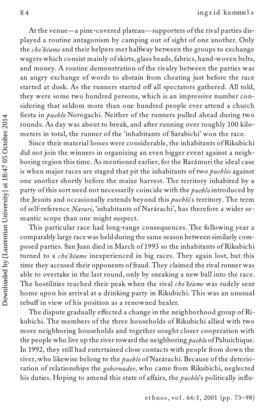At the venue—a pine-covered plateau —supporters of the rival parties dis played a routine antagonism by camping out of sight of one another. Only the *cho'kéame* and their helpers met halfway between the groups to exchange wagers which consist mainly of skirts, glass beads, fabrics, hand-woven belts, and money. A routine demonstration of the rivalry between the parties was an angry exchange of words to abstain from cheating just before the race started at dusk. As the runners started off all spectators gathered. All told, they were some two hundred persons, which is an impressive number considering that seldom more than one hundred people ever attend a church fiesta in *pueblo* Norogachi. Neither of the runners pulled ahead during two rounds. As day was about to break, and after running over roughly 100 kilo meters in total, the runner of the 'inhabitants of Sarabichi' won the race.

Since their material losses were considerable, the inhabitants of Rikubichi did not join the winners in organizing an even bigger event against a neigh boring region this time. As mentioned earlier, for the Rarámuri the ideal case is when major races are staged that pit the inhabitants of two *pueblos* against one another shortly before the maize harvest. The territory inhabited by a party of this sort need not necessarily coincide with the *pueblo*introduced by the Jesuits and occasionally extends beyond this *pueblo*'s territory. The term of self-reference *Narari*, 'inhabitants of Narárachi', has therefore a wider se mantic scope than one might suspect.

This particular race had long-range consequences. The following year a comparably large race was held during the same season between similarly com posed parties. San Juan died in March of 1993 so the inhabitants of Rikubichi turned to a *cho'kéame* inexperienced in big races. They again lost, but this time they accused their opponents of fraud. They claimed the rival runner was able to overtake in the last round, only by sneaking a new ball into the race. The hostilities reached their peak when the rival *cho'kéame* was rudely sent home upon his arrival at a drinking party in Rikubichi. This was an unusual rebuff in view of his position as a renowned healer. Heat in *pueblo* Notorgachi. Neither of the runners pulled abead during two amends and the publishing or roughly 100 kilometers in total, the runner of the 'inhabitants of Sarabichi' won the race. Since their material loo

The dispute gradually effected a change in the neighborhood group of Ri kubichi. The members of the three households of Rikubichi allied with two more neighboring households and together sought closer cooperation with the people who live up the river toward the neighboring *pueblo* of Pahuichique. In 1992, they still had entertained close contacts with people from down the river, who likewise belong to the *pueblo* of Narárachi. Because of the deterioration of relationships the *gobernador*, who came from Rikubichi, neglected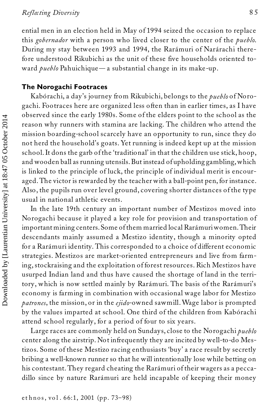ential men in an election held in May of 1994 seized the occasion to replace this *gobernador* with a person who lived closer to the center of the *pueblo*. During my stay between 1993 and 1994, the Rarámuri of Narárachi therefore understood Rikubichi as the unit of these five households oriented to ward *pueblo* Pahuichique— a substantial change in its make-up.

#### **The Norogachi Footraces**

Kabórachi, a day's journey from Rikubichi, belongs to the *pueblo* of Noro gachi. Footraces here are organized less often than in earlier times, as I have observed since the early 1980s. Some of the elders point to the school as the reason why runners with stamina are lacking. The children who attend the mission boarding-school scarcely have an opportunity to run, since they do not herd the household's goats. Yet running is indeed kept up at the mission school. It dons the garb of the 'traditional' in that the children use stick, hoop, and wooden ball as running utensils. But instead of upholding gambling, which is linked to the principle of luck, the principle of individual merit is encouraged. The victor is rewarded by the teacher with a ball-point pen, for instance. Also, the pupils run over level ground, covering shorter distances of the type usual in national athletic events.

In the late 19th century an important number of Mestizos moved into Norogachi because it played a key role for provision and transportation of important mining centers. Some of them married local Rarámuri women. Their descendants mainly assumed a Mestizo identity, though a minority opted for a Rarámuri identity. This corresponded to a choice of different economic strategies. Mestizos are market-oriented entrepreneurs and live from farming, stockraising and the exploitation of forest resources. Rich Mestizos have usurped Indian land and thus have caused the shortage of land in the territory, which is now settled mainly by Rarámuri. The basis of the Rarámuri's economy is farming in combination with occasional wage labor for Mestizo *patrones*, the mission, or in the *ejido*-owned sawmill. Wage labor is prompted by the values imparted at school. One third of the children from Kabórachi attend school regularly, for a period of four to six years.

Large races are commonly held on Sundays, close to the Norogachi *pueblo* center along the airstrip. Not infrequently they are incited by well-to-do Mestizos. Some of these Mestizo racing enthusiasts 'buy' a race result by secretly bribing a well-known runner so that he will intentionally lose while betting on his contestant. They regard cheating the Rarámuri of their wagers as a pecca dillo since by nature Rarámuri are held incapable of keeping their money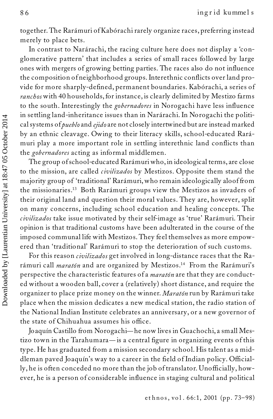together. The Rarámuri of Kabórachi rarely organize races, preferring instead merely to place bets.

In contrast to Narárachi, the racing culture here does not display a 'con glomerative pattern' that includes a series of small races followed by large ones with mergers of growing betting parties. The races also do not influence the composition of neighborhood groups. Interethnic conflicts over land pro vide for more sharply-defined, permanent boundaries. Kabórachi, a series of *ranchos* with 40 households, for instance, is clearly delimited by Mestizo farms to the south. Interestingly the *gobernadores* in Norogachi have less influence in settling land-inheritance issues than in Narárachi. In Norogachi the political systems of *pueblo* and *ejido* are not closely intertwined but are instead marked by an ethnic cleavage. Owing to their literacy skills, school-educated Rará muri play a more important role in settling interethnic land conflicts than the *gobernadores* acting as informal middlemen.

The group of school-educated Rarámuri who, in ideological terms, are close to the mission, are called *civilizados* by Mestizos. Opposite them stand the majority group of 'traditional' Rarámuri, who remain ideologically aloof from the missionaries.<sup>13</sup> Both Rarámuri groups view the Mestizos as invaders of their original land and question their moral values. They are, however, split on many concerns, including school education and healing concepts. The *civilizados* take issue motivated by their self-image as 'true' Rarámuri. Their opinion is that traditional customs have been adulterated in the course of the imposed communal life with Mestizos. They feel themselves as more empowered than 'traditional' Rarámuri to stop the deterioration of such customs.

For this reason *civilizados* get involved in long-distance races that the Rarámuri call *maratón* and are organized by Mestizos.<sup>14</sup> From the Rarámuri's perspective the characteristic features of a *maratón* are that they are conduct ed without a wooden ball, cover a (relatively) short distance, and require the organizer to place prize money on the winner. *Maratón* run by Rarámuri take place when the mission dedicates a new medical station, the radio station of the National Indian Institute celebrates an anniversary, or a new governor of the state of Chihuahua assumes his office.

Joaquín Castillo from Norogachi-he now lives in Guachochi, a small Mestizo town in the Tarahumara — is a central figure in organizing events of this type. He has graduated from a mission secondary school. His talent as a mid dleman paved Joaquín's way to a career in the field of Indian policy. Officially, he is often conceded no more than the job of translator. Unofficially, how ever, he is a person of considerable influence in staging cultural and political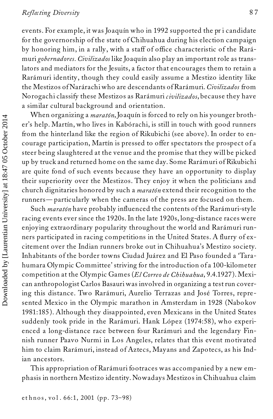## *Reflecting Diversity* 8 7

events. For example, it was Joaquín who in 1992 supported the pr i candidate for the governorship of the state of Chihuahua during his election campaign by honoring him, in a rally, with a staff of office characteristic of the Rará muri *gobernadores. Civilizados* like Joaquín also play an important role as translators and mediators for the Jesuits, a factor that encourages them to retain a Rarámuri identity, though they could easily assume a Mestizo identity like the Mestizos of Narárachi who are descendants of Rarámuri. *Civilizados* from Norogachi classify these Mestizos as Rarámuri *civilizados*, because they have a similar cultural background and orientation.

When organizing a *maratón*, Joaquín is forced to rely on his younger brother's help. Martín, who lives in Kabórachi, is still in touch with good runners from the hinterland like the region of Rikubichi (see above). In order to encourage participation, Martín is pressed to offer spectators the prospect of a steer being slaughtered at the venue and the promise that they will be picked up by truck and returned home on the same day. Some Rarámuri of Rikubichi are quite fond of such events because they have an opportunity to display their superiority over the Mestizos. They enjoy it when the politicians and church dignitaries honored by such a *maratón* extend their recognition to the runners — particularly when the cameras of the press are focused on them.

Such *maratón* have probably influenced the contents of the Rarámuri-style racing events ever since the 1920s. In the late 1920s, long-distance races were enjoying extraordinary popularity throughout the world and Rarámuri run ners participated in racing competitions in the United States. A flurry of excitement over the Indian runners broke out in Chihuahua's Mestizo society. Inhabitants of the border towns Ciudad Juárez and El Paso founded a 'Tara humara Olympic Committee' striving for the introduction of a 100-kilometer competition at the Olympic Games (*El Correo de Chihuahua*, 9.4.1927). Mexican anthropologist Carlos Basauri was involved in organizing a test run covering this distance. Two Rarámuri, Aurelio Terrazas and José Torres, represented Mexico in the Olympic marathon in Amsterdam in 1928 (Nabokov 1981:185). Although they disappointed, even Mexicans in the United States suddenly took pride in the Rarámuri. Hank López (1974:58), who experi enced a long-distance race between four Rarámuri and the legendary Fin nish runner Paavo Nurmi in Los Angeles, relates that this event motivated him to claim Rarámuri, instead of Aztecs, Mayans and Zapotecs, as his Indian ancestors.

This appropriation of Rarámuri footraces was accompanied by a new em phasis in northern Mestizo identity. Nowadays Mestizos in Chihuahua claim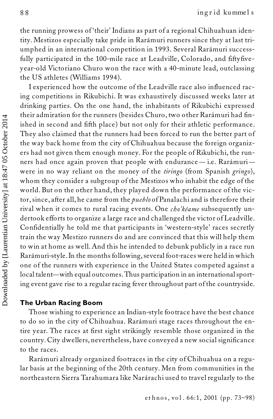the running prowess of 'their' Indians as part of a regional Chihuahuan identity. Mestizos especially take pride in Rarámuri runners since they at last tri umphed in an international competition in 1993. Several Rarámuri successfully participated in the 100-mile race at Leadville, Colorado, and fiftyfive year-old Victoriano Churo won the race with a 40-minute lead, outclassing the US athletes (Williams 1994).

I experienced how the outcome of the Leadville race also influenced racing competitions in Rikubichi. It was exhaustively discussed weeks later at drinking parties. On the one hand, the inhabitants of Rikubichi expressed their admiration for the runners (besides Churo, two other Rarámuri had finished in second and fifth place) but not only for their athletic performance. They also claimed that the runners had been forced to run the better part of the way back home from the city of Chihuahua because the foreign organiz ers had not given them enough money. For the people of Rikubichi, the run ners had once again proven that people with endurance — i.e. Rarámuri were in no way reliant on the money of the *tiringo* (from Spanish *gringo*), whom they consider a subgroup of the Mestizos who inhabit the edge of the world. But on the other hand, they played down the performance of the victor, since, after all, he came from the *pueblo* of Panalachi and is therefore their rival when it comes to rural racing events. One *cho'kéame* subsequently un dertook efforts to organize a large race and challenged the victor of Leadville. Confidentially he told me that participants in 'western-style' races secretly train the way Mestizo runners do and are convinced that this will help them to win at home as well. And this he intended to debunk publicly in a race run Rarámuri-style. In the months following, several foot-races were held in which one of the runners with experience in the United States competed against a local talent-with equal outcomes. Thus participation in an international sporting event gave rise to a regular racing fever throughout part of the countryside. their admit ation of the runners (besides Churo, wo other Karárum had thromateles<br>  $\frac{1}{2}$  the way back home from the city of Chihuahua because the foreign or practice crisis that the runners had been forced to run the

#### **The Urban Racing Boom**

Those wishing to experience an Indian-style footrace have the best chance to do so in the city of Chihuahua. Rarámuri stage races throughout the entire year. The races at first sight strikingly resemble those organized in the country. City dwellers, nevertheless, have conveyed a new social significance to the races.

Rarámuri already organized footraces in the city of Chihuahua on a regular basis at the beginning of the 20th century. Men from communities in the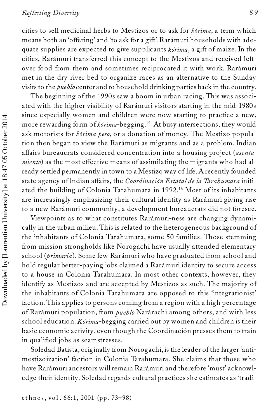cities to sell medicinal herbs to Mestizos or to ask for *kórima*, a term which means both an 'offering' and 'to ask for a gift'. Rarámuri households with ade quate supplies are expected to give supplicants *kórima*, a gift of maize. In the cities, Rarámuri transferred this concept to the Mestizos and received left over food from them and sometimes reciprocated it with work. Rarámuri met in the dry river bed to organize races as an alternative to the Sunday visits to the *pueblo* center and to household drinking parties back in the country.

The beginning of the 1990s saw a boom in urban racing. This was associated with the higher visibility of Rarámuri visitors starting in the mid-1980s since especially women and children were now starting to practice a new, more rewarding form of *kórima*-begging.<sup>15</sup> At busy intersections, they would ask motorists for *kórima peso*, or a donation of money. The Mestizo population then began to view the Rarámuri as migrants and as a problem. Indian affairs bureaucrats considered concentration into a housing project (*asentamiento*) as the most effective means of assimilating the migrants who had already settled permanently in town to a Mestizo way of life. A recently founded state agency of Indian affairs, the *Coordinación Estatal de la Tarahumara* initiated the building of Colonia Tarahumara in 1992.<sup>16</sup> Most of its inhabitants are increasingly emphasizing their cultural identity as Rarámuri giving rise to a new Rarámuri community, a development bureaucrats did not foresee.

Viewpoints as to what constitutes Rarámuri-ness are changing dynamically in the urban milieu. This is related to the heterogeneous background of the inhabitants of Colonia Tarahumara, some 50 families. Those stemming from mission strongholds like Norogachi have usually attended elementary school (*primaria*). Some few Rarámuri who have graduated from school and hold regular better-paying jobs claimed a Rarámuri identity to secure access to a house in Colonia Tarahumara. In most other contexts, however, they identify as Mestizos and are accepted by Mestizos as such. The majority of the inhabitants of Colonia Tarahumara are opposed to this 'integrationist' faction. This applies to persons coming from a region with a high percentage of Rarámuri population, from *pueblo* Narárachi among others, and with less school education. *Kórima*-begging carried out by women and children is their basic economic activity, even though the Coordinación presses them to train in qualified jobs as seamstresses. some especially women and children were now starting to practice a new,<br>and more rewarding form of *kirima peso*, or a donation of money. The Mestizo popula-<br>tion then began to view the Rarámuria as imparts and as a probl

Soledad Batista, originally from Norogachi, is the leader of the larger 'anti mestizoization' faction in Colonia Tarahumara. She claims that those who have Rarámuri ancestors will remain Rarámuri and therefore 'must' acknowl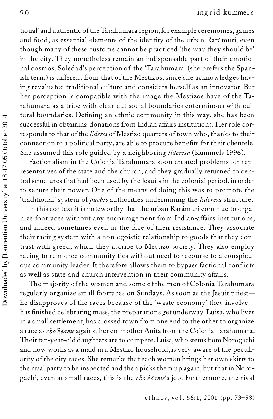tional' and authentic of the Tarahumara region, for example ceremonies, games and food, as essential elements of the identity of the urban Rarámuri, even though many of these customs cannot be practiced 'the way they should be' in the city. They nonetheless remain an indispensable part of their emotio nal cosmos. Soledad's perception of the 'Tarahumara' (she prefers the Spanish term) is different from that of the Mestizos, since she acknowledges having revaluated traditional culture and considers herself as an innovator. But her perception is compatible with the image the Mestizos have of the Tarahumara as a tribe with clear-cut social boundaries coterminous with cultural boundaries. Defining an ethnic community in this way, she has been successful in obtaining donations from Indian affairs institutions. Her role corresponds to that of the *lideres* of Mestizo quarters of town who, thanks to their connection to a political party, are able to procure benefits for their clientele. She assumed this role guided by a neighboring *lideresa* (Kummels 1996).

Factionalism in the Colonia Tarahumara soon created problems for representatives of the state and the church, and they gradually returned to central structures that had been used by the Jesuits in the colonial period, in order to secure their power. One of the means of doing this was to promote the 'traditional' system of *pueblo* authorities undermining the *lideresa* structure.

In this context it is noteworthy that the urban Rarámuri continue to orga nize footraces without any encouragement from Indian-affairs institutions, and indeed sometimes even in the face of their resistance. They associate their racing system with a non-egoistic relationship to goods that they contrast with greed, which they ascribe to Mestizo society. They also employ racing to reinforce community ties without need to recourse to a conspicu ous community leader. It therefore allows them to bypass factional conflicts as well as state and church intervention in their community affairs.

The majority of the women and some of the men of Colonia Tarahumara regularly organize small footraces on Sundays. As soon as the Jesuit priest he disapproves of the races because of the 'waste economy' they involve has finished celebrating mass, the preparations get underway. Luisa, who lives in a small settlement, has crossed town from one end to the other to organize a race as *cho'kéame* against her co-mother Anita from the Colonia Tarahumara. Their ten-year-old daughters are to compete. Luisa, who stems from Norogachi and now works as a maid in a Mestizo household, is very aware of the peculiarity of the city races. She remarks that each woman brings her own skirts to the rival party to be inspected and then picks them up again, but that in Noro gachi, even at small races, this is the *cho'kéame*'s job. Furthermore, the rival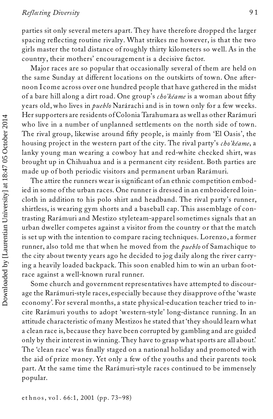#### *Reflecting Diversity* 91

parties sit only several meters apart. They have therefore dropped the larger spacing reflecting routine rivalry. What strikes me however, is that the two girls master the total distance of roughly thirty kilometers so well. As in the country, their mothers' encouragement is a decisive factor.

Major races are so popular that occasionally several of them are held on the same Sunday at different locations on the outskirts of town. One after noon I come across over one hundred people that have gathered in the midst of a bare hill along a dirt road. One group's *cho'kéame* is a woman about fifty years old, who lives in *pueblo* Narárachi and is in town only for a few weeks. Her supporters are residents of Colonia Tarahumara as well as other Rarámuri who live in a number of unplanned settlements on the north side of town. The rival group, likewise around fifty people, is mainly from 'El Oasis', the housing project in the western part of the city. The rival party's *cho'kéame*, a lanky young man wearing a cowboy hat and red-white checked shirt, was brought up in Chihuahua and is a permanent city resident. Both parties are made up of both periodic visitors and permanent urban Rarámuri.

The attire the runners wear is significant of an ethnic competition embodied in some of the urban races. One runner is dressed in an embroidered loincloth in addition to his polo shirt and headband. The rival party's runner, shirtless, is wearing gym shorts and a baseball cap. This assemblage of contrasting Rarámuri and Mestizo styleteam-apparel sometimes signals that an urban dweller competes against a visitor from the country or that the match is set up with the intention to compare racing techniques. Lorenzo, a former runner, also told me that when he moved from the *pueblo* of Samachique to the city about twenty years ago he decided to jog daily along the river carrying a heavily loaded backpack. This soon enabled him to win an urban footrace against a well-known rural runner.

Some church and government representatives have attempted to discour age the Rarámuri-style races, especially because they disapprove of the 'waste economy'. For several months, a state physical-education teacher tried to incite Rarámuri youths to adopt 'western-style' long-distance running. In an attitude characteristic of many Mestizos he stated that 'they should learn what a clean race is, because they have been corrupted by gambling and are guided only by their interest in winning. They have to grasp what sports are all about.' The 'clean race' was finally staged on a national holiday and promoted with the aid of prize money. Yet only a few of the youths and their parents took part. At the same time the Rarámuri-style races continued to be immensely popular.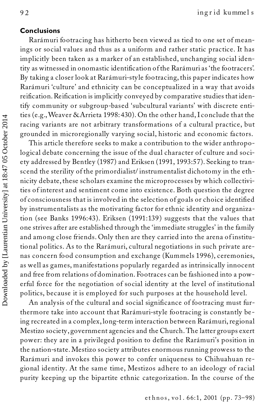#### **Conclusions**

Rarámuri footracing has hitherto been viewed as tied to one set of meanings or social values and thus as a uniform and rather static practice. It has implicitly been taken as a marker of an established, unchanging social identity as witnessed in onomastic identification of the Rarámuri as 'the footracers'. By taking a closer look at Rarámuri-style footracing, this paper indicates how Rarámuri 'culture' and ethnicity can be conceptualized in a way that avoids reification. Reification is implicitly conveyed by comparative studies that identify community or subgroup-based 'subcultural variants' with discrete entities (e.g., Weaver &Arrieta 1998:430). On the other hand, I conclude that the racing variants are not arbitrary transformations of a cultural practice, but grounded in microregionally varying social, historic and economic factors.

This article therefore seeks to make a contribution to the wider anthropological debate concerning the issue of the dual character of culture and soci ety addressed by Bentley (1987) and Eriksen (1991, 1993:57). Seeking to transcend the sterility of the primordialist/ instrumentalist dichotomy in the eth nicity debate, these scholars examine the microprocesses by which collectivities of interest and sentiment come into existence. Both question the degree of consciousness that is involved in the selection of goals or choice identified by instrumentalists as the motivating factor for ethnic identity and organization (see Banks 1996:43). Eriksen (1991:139) suggests that the values that one strives after are established through the 'immediate struggles' in the family and among close friends. Only then are they carried into the arena of institutional politics. As to the Rarámuri, cultural negotiations in such private are nas concern food consumption and exchange (Kummels 1996), ceremonies, as well as games, manifestations popularly regarded as intrinsically innocent and free from relations of domination. Footraces can be fashioned into a pow erful force for the negotiation of social identity at the level of institutional politics, because it is employed for such purposes at the household level. purity at the determination of the other hand, leconduct that the discussion of a cultural practice, but grounded in microregionally varying social, historic and economic factors.<br>
This arise the reference sects to ranks

An analysis of the cultural and social significance of footracing must furthermore take into account that Rarámuri-style footracing is constantly being recreated in a complex, long-term interaction between Rarámuri, regional Mestizo society, government agencies and the Church. The latter groups exert power: they are in a privileged position to define the Rarámuri's position in the nation-state. Mestizo society attributes enormous running prowess to the Rarámuri and invokes this power to confer uniqueness to Chihuahuan re gional identity. At the same time, Mestizos adhere to an ideology of racial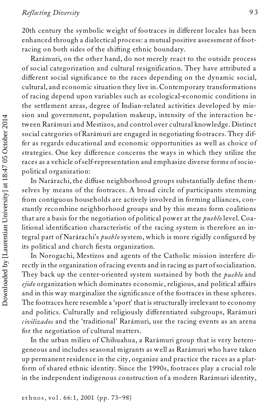20th century the symbolic weight of footraces in different locales has been enhanced through a dialectical process: a mutual positive assessment of footracing on both sides of the shifting ethnic boundary.

Rarámuri, on the other hand, do not merely react to the outside process of social categorization and cultural resignification. They have attributed a different social significance to the races depending on the dynamic social, cultural, and economic situation they live in. Contemporary transformations of racing depend upon variables such as ecological-economic conditions in the settlement areas, degree of Indian-related activities developed by mission and government, population makeup, intensity of the interaction between Rarámuri and Mestizos, and control over cultural knowledge. Distinct social categories of Rarámuri are engaged in negotiating footraces. They differ as regards educational and economic opportunities as well as choice of strategies. One key difference concerns the ways in which they utilize the races as a vehicle of self-representation and emphasize diverse forms of socio political organization:

In Narárachi, the diffuse neighborhood groups substantially define themselves by means of the footraces. A broad circle of participants stemming from contiguous households are actively involved in forming alliances, constantly recombine neighborhood groups and by this means form coalitions that are a basis for the negotiation of political power at the *pueblo*level. Coalitional identification characteristic of the racing system is therefore an integral part of Narárachi's *pueblo* system, which is more rigidly configured by its political and church fiesta organization.

In Norogachi, Mestizos and agents of the Catholic mission interfere directly in the organization of racing events and in racing as part of socialization. They back up the center-oriented system sustained by both the *pueblo* and *ejido* organization which dominates economic, religious, and political affairs and in this way marginalize the significance of the footraces in these spheres. The footraces here resemble a 'sport' that is structurally irrelevant to economy and politics. Culturally and religiously differentiated subgroups, Rarámuri *civilizados* and the 'traditional' Rarámuri, use the racing events as an arena for the negotiation of cultural matters. since the interfaction of a mode of a model in the interfactor of a model of a model and constructive social categories of Rarámuri are engaged in negotiating footraces. They different social categories of Rarámuri are en

In the urban milieu of Chihuahua, a Rarámuri group that is very hetero geneous and includes seasonal migrants as well as Rarámuri who have taken up permanent residence in the city, organize and practice the races as a platform of shared ethnic identity. Since the 1990s, footraces play a crucial role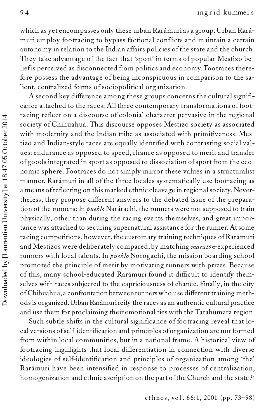which as yet encompasses only these urban Rarámuri as a group. Urban Rará muri employ footracing to bypass factional conflicts and maintain a certain autonomy in relation to the Indian affairs policies of the state and the church. They take advantage of the fact that 'sport' in terms of popular Mestizo belief is perceived as disconnected from politics and economy. Footraces therefore possess the advantage of being inconspicuous in comparison to the salient, centralized forms of sociopolitical organization.

A second key difference among these groups concerns the cultural significance attached to the races: All three contemporary transformations of footracing reflect on a discourse of colonial character pervasive in the regional society of Chihuahua. This discourse opposes Mestizo society as associated with modernity and the Indian tribe as associated with primitiveness. Mestizo and Indian-style races are equally identified with contrasting social val ues: endurance as opposed to speed, chance as opposed to merit and transfer of goods integrated in sport as opposed to dissociation of sport from the eco nomic sphere. Footraces do not simply mirror these values in a structuralist manner. Rarámuri in all of the three locales systematically use footracing as a means of reflecting on this marked ethnic cleavage in regional society. Nevertheless, they propose different answers to the debated issue of the preparation of the runners: In *pueblo* Narárachi, the runners were not supposed to train physically, other than during the racing events themselves, and great importance was attached to securing supernatural assistance for the runner. At some racing competitions, however, the customary training techniques of Rarámuri and Mestizos were deliberately compared, by matching *maratón*-experienced runners with local talents. In *pueblo* Norogachi, the mission boarding school promoted the principle of merit by motivating runners with prizes. Because of this, many school-educated Rarámuri found it difficult to identify themselves with races subjected to the capriciousness of chance. Finally, in the city of Chihuahua, a confrontation between runners who use different training meth ods is organized. Urban Rarámuri reify the races as an authentic cultural practice and use them for proclaiming their emotional ties with the Tarahumara region.

Such subtle shifts in the cultural significance of footracing reveal that local versions of self-identification and principles of organization are not formed from within local communities, but in a national frame. A historical view of footracing highlights that local differentiation in connection with diverse ideologies of self-identification and principles of organization among 'the' Rarámuri have been intensified in response to processes of centralization, homogenization and ethnic ascription on the part of the Church and the state.<sup>17</sup>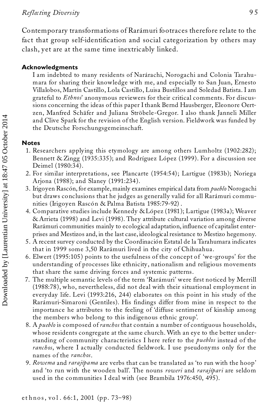Contemporary transformations of Rarámuri footraces therefore relate to the fact that group self-identification and social categorization by others may clash, yet are at the same time inextricably linked.

#### **Acknowledgments**

I am indebted to many residents of Narárachi, Norogachi and Colonia Tarahu mara for sharing their knowledge with me, and especially to San Juan, Ernesto Villalobos, Martín Castillo, Lola Castillo, Luisa Bustillos and Soledad Batista. I am grateful to *Ethnos*' anonymous reviewers for their critical comments. For discussions concerning the ideas of this paper I thank Bernd Hausberger, Eleonore Oert zen, Manfred Schäfer and Juliana Ströbele-Gregor. I also thank Janneli Miller and Clive Spark for the revision of the English version. Fieldwork was funded by the Deutsche Forschungsgemeinschaft.

#### **Notes**

- 1. Researchers applying this etymology are among others Lumholtz (1902:282); Bennett & Zingg (1935:335); and Rodríguez López (1999). For a discussion see Deimel (1980:34).
- 2. For similar interpretations, see Plancarte (1954:54); Lartigue (1983b); Noriega Arjona (1988); and Slaney (1991:234).
- 3. Irigoyen Rascón, for example, mainly examines empirical data from *pueblo* Norogachi but draws conclusions that he judges as generally valid for all Rarámuri commu nities (Irigoyen Rascón & Palma Batista 1985:79-92) .
- 4. Comparative studies include Kennedy & López (1981); Lartigue (1983a); Weaver & Arrieta (1998) and Levi (1998). They attribute cultural variation among diverse Rarámuri communities mainly to ecological adaptation, influence of capitalist enter prises and Mestizos and, in the last case, ideological resistance to Mestizo hegemony.
- 5. A recent survey conducted by the Coordinación Estatal de la Tarahumara indicates that in 1999 some 3,50 Rarámuri lived in the city of Chihuahua.
- 6. Elwert (1995:105) points to the usefulness of the concept of 'we-groups' for the understanding of processes like ethnicity, nationalism and religious movements that share the same driving forces and systemic patterns.
- 7. The multiple semantic levels of the term 'Rarámuri' were first noticed by Merrill (1988:78), who, nevertheless, did not deal with their situational employment in everyday life. Levi (1993:216, 244) elaborates on this point in his study of the Rarámuri-Simaroni (Gentiles). His findings differ from mine in respect to the importance he attributes to the feeling of 'diffuse sentiment of kinship among the members who belong to this indigenous ethnic group'.
- 8. A *pueblo* is composed of *ranchos* that contain a number of contiguous households, whose residents congregate at the same church. With an eye to the better understanding of community characteristics I here refer to the *pueblos* instead of the *ranchos*, where I actually conducted fieldwork. I use pseudonyms only for the names of the *ranchos*.
- 9. *Rowema* and *rarajípama* are verbs that can be translated as 'to run with the hoop' and 'to run with the wooden ball'. The nouns *roweri* and *rarajípari* are seldom used in the communities I deal with (see Brambila 1976:450, 495).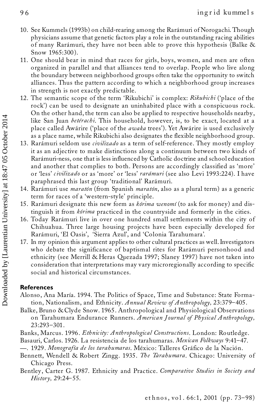- 10. See Kummels (1993b) on child-rearing among the Rarámuri of Norogachi. Though physicians assume that genetic factors play a role in the outstanding racing abilities of many Rarámuri, they have not been able to prove this hypothesis (Balke & Snow 1965:300).
- 11. One should bear in mind that races for girls, boys, women, and men are often organized in parallel and that alliances tend to overlap. People who live along the boundary between neighborhood groups often take the opportunity to switch alliances. Thus the pattern according to which a neighborhood group increases in strength is not exactly predictable.
- 12. The semantic scope of the term 'Rikubichi' is complex: *Rikubichi* ('place of the rock') can be used to designate an uninhabited place with a conspicuous rock. On the other hand, the term can also be applied to respective households nearby, like San Juan *betérachi*. This household, however, is, to be exact, located at a place called Awárire ('place of the *awaka* trees'). Yet Awárire is used exclusively as a place name, while Rikubichi also designates the flexible neighborhood group.
- 13. Rarámuri seldom use *civilizado* as a term of self-reference. They mostly employ it as an adjective to make distinctions along a continuum between two kinds of Rarámuri-ness, one that is less influenced by Catholic doctrine and school education and another that complies to both. Persons are accordingly classified as 'more' or 'less' *civilizado* or as 'more' or 'less' *rarámuri* (see also Levi 1993:224). I have paraphrased this last group 'traditional' Rarámuri.
- 14. Rarámuri use *maratón* (from Spanish *maratón*, also as a plural term) as a generic term for races of a 'western-style' principle.
- 15. Rarámuri designate this new form as *kórima wenomí* (to ask for money) and distinguish it from *kórima* practiced in the countryside and formerly in the cities.
- 16. Today Rarámuri live in over one hundred small settlements within the city of Chihuahua. Three large housing projects have been especially developed for Rarámuri, 'El Oasis', 'Sierra Azul', and 'Colonia Tarahumara'.
- 17. In my opinion this argument applies to other cultural practices as well. Investigators who debate the significance of baptismal rites for Rarámuri personhood and ethnicity (see Merrill & Heras Quezada 1997; Slaney 1997) have not taken into consideration that interpretations may vary microregionally according to specific social and historical circumstances.

#### **References**

- Alonso, Ana María. 1994. The Politics of Space, Time and Substance: State Formation, Nationalism, and Ethnicity. *Annual Review of Anthropology,* 23:379–405.
- Balke, Bruno & Clyde Snow. 1965. Anthropological and Physiological Observations on Tarahumara Endurance Runners. *American Journal of Physical Anthropology,* 23:293–301.
- Banks, Marcus. 1996. *Ethnicity: Anthropological Constructions*. London: Routledge.
- Basauri, Carlos. 1926. La resistencia de los tarahumaras. *Mexican Folkways* 9:41–47.
- —. 1929. *Monografía de los tarahumaras*. México: Talleres Gráfico de la Nación.
- Bennett, Wendell & Robert Zingg. 1935. *The Tarahumara*. Chicago: University of Chicago Press.
- Bentley, Carter G. 1987. Ethnicity and Practice. *Comparative Studies in Society and History,* 29:24–55.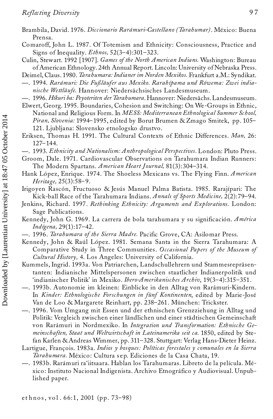- Brambila, David. 1976. *Diccionario Rarámuri-Castellano (Tarahumar)*. México: Buena Prensa.
- Comaroff, John L. 1987. Of Totemism and Ethnicity: Consciousness, Practice and Signs of Inequality. *Ethnos,* 52(3–4):301–323.
- Culin, Stewart. 1992 [1907]. *Games of the North American Indians.* Washington: Bureau of American Ethnology. 24th Annual Report. Lincoln: University of Nebraska Press.

Deimel, Claus. 1980. *Tarahumara: Indianer im Norden Mexikos.* Frankfurt a.M.: Syndikat.

- —. 1994. *Rarámuri: Die Fußläufer aus Mexiko. Rarahípama und Rówema: Zwei india nische Wettläufe.* Hannover: Niedersächsisches Landesmuseum.
- —. 1996. *Híkuri ba: Peyoteriten der Tarahumara*. Hannover: Niedersächs. Landesmuseum.
- Elwert, Georg. 1995. Boundaries, Cohesion and Switching: On We-Groups in Ethnic, National and Religious Form. In *MESS: Mediterranean Ethnological Summer School, Piran, Slovenia:* 1994–1995, edited by Borut Brumen & Zmago Smitek, pp. 105– 121. Ljubljana: Slovensko etnologsko drustvo.
- Eriksen, Thomas H. 1991. The Cultural Contexts of Ethnic Differences. *Man,* 26: 127–144.
- —. 1993. *Ethnicity and Nationalism: Anthropological Perspectives.* London: Pluto Press.
- Groom, Dale. 1971. Cardiovascular Observations on Tarahumara Indian Runners: The Modern Spartans. *American Heart Journal,* 81(3):304–314.
- Hank López, Enrique. 1974. The Shoeless Mexicans vs. The Flying Finn. *American Heritage,* 25(3):58– 9.
- Irigoyen Rascón, Fructuoso & Jesús Manuel Palma Batista. 1985. Rarajípari: The Kick-ball Race of the Tarahumara Indians. *Annals of Sports Medicine,* 2(2):79–94.
- Jenkins, Richard. 1997. *Rethinking Ethnicity: Arguments and Explorations.* London: Sage Publications.
- Kennedy, John G. 1969. La carrera de bola tarahumara y su significación. *América Indígena,* 29(1):17–42.
- —. 1996. *Tarahumara of the Sierra Madre.* Pacific Grove, CA: Asilomar Press.
- Kennedy, John & Raúl López. 1981. Semana Santa in the Sierra Tarahumara: A Comparative Study in Three Communities. *Occasional Papers of the Museum of Cultural History,* 4. Los Angeles: University of California.
- Kummels, Ingrid. 1993a. Von Patriarchen, Landschullehrern und Stammesrepräsentanten: Indianische Mittelspersonen zwischen staatlicher Indianerpolitik und 'indianischer Politik' in Mexiko. *Ibero-Amerikanisches Archiv*, 19(3–4):315–351.
- —. 1993b. Autonomie im kleinen: Einblicke in den Alltag von Rarámuri-Kindern. In *Kinder: Ethnologische Forschungen in fünf Kontinenten*, edited by Marie-José Van de Loo & Margarete Reinhart, pp. 238–261. München: Trickster.
- —. 1996. Vom Umgang mit Essen und der ethnischen Grenzziehung in Alltag und Politik: Vergleich zwischen einer ländlichen und einer städtischen Gemeinschaft von Rarámuri in Nordmexiko. In *Integration und Transformation: Ethnische Ge meinschaften, Staat und Weltwirtschaft in Lateinamerika seit ca.* 1850, edited by Stefan Karlen & Andreas Wimmer, pp. 311–328. Stuttgart: Verlag Hans-Dieter Heinz. Mational and K<br>
Piran, Slovenia.<br>
121. Ljubljana:<br>
127–144.<br>
- 1993. Ethnicity<br>
Groom, Dale. 197<br>
The Modern S<br>
Hank López, Enrichter 18:47<br>
12:47 The Modern S<br>
Hank López, Enrichter 18:47<br>
12:52 Irigoyen Rascón, Kick-bal
	- Lartigue, François. 1983a. *Indios y bosques: Políticas forestales y comunales en la Sierra Tarahumara.* México: Cultura s ep. Ediciones de la Casa Chata, 19.
	- —. 1983b. Rarámuri ra'iitsaara. Hablan los Tarahumaras. Libreto de la película. Mé xico: Instituto Nacional Indigenista. Archivo Etnográfico y Audiovisual. Unpub-

e t h no s, vo l . 66:1, 2001 (pp. 73–98)